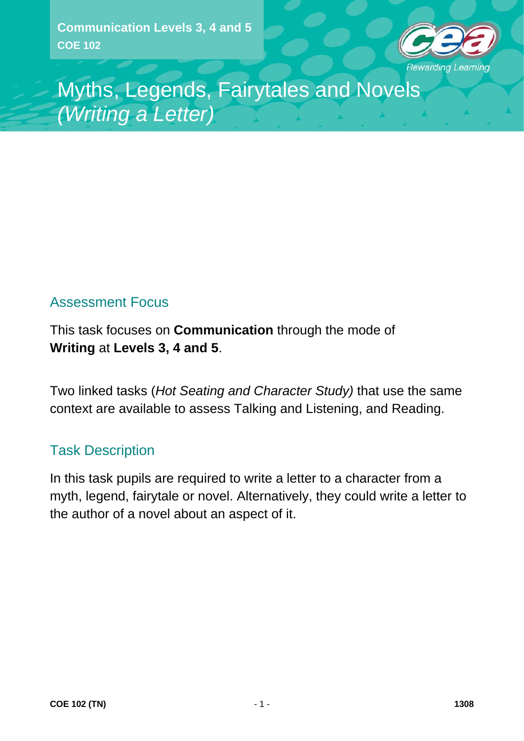

Myths, Legends, Fairytales and Novels *(Writing a Letter)*

## Assessment Focus

This task focuses on **Communication** through the mode of **Writing** at **Levels 3, 4 and 5**.

Two linked tasks (*Hot Seating and Character Study)* that use the same context are available to assess Talking and Listening, and Reading.

### Task Description

In this task pupils are required to write a letter to a character from a myth, legend, fairytale or novel. Alternatively, they could write a letter to the author of a novel about an aspect of it.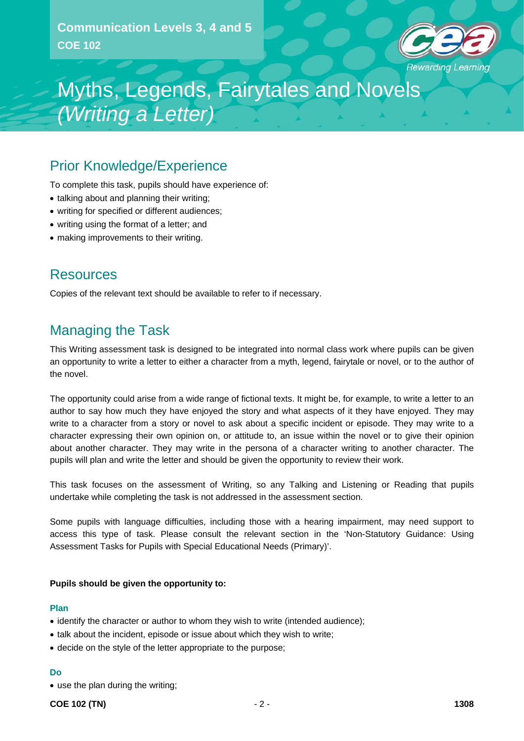

# Myths, Legends, Fairytales and Novels *(Writing a Letter)*

### Prior Knowledge/Experience

To complete this task, pupils should have experience of:

- talking about and planning their writing;
- writing for specified or different audiences;
- writing using the format of a letter; and
- making improvements to their writing.

### **Resources**

Copies of the relevant text should be available to refer to if necessary.

## Managing the Task

This Writing assessment task is designed to be integrated into normal class work where pupils can be given an opportunity to write a letter to either a character from a myth, legend, fairytale or novel, or to the author of the novel.

The opportunity could arise from a wide range of fictional texts. It might be, for example, to write a letter to an author to say how much they have enjoyed the story and what aspects of it they have enjoyed. They may write to a character from a story or novel to ask about a specific incident or episode. They may write to a character expressing their own opinion on, or attitude to, an issue within the novel or to give their opinion about another character. They may write in the persona of a character writing to another character. The pupils will plan and write the letter and should be given the opportunity to review their work.

This task focuses on the assessment of Writing, so any Talking and Listening or Reading that pupils undertake while completing the task is not addressed in the assessment section.

Some pupils with language difficulties, including those with a hearing impairment, may need support to access this type of task. Please consult the relevant section in the 'Non-Statutory Guidance: Using Assessment Tasks for Pupils with Special Educational Needs (Primary)'.

#### **Pupils should be given the opportunity to:**

#### **Plan**

- identify the character or author to whom they wish to write (intended audience);
- talk about the incident, episode or issue about which they wish to write;
- decide on the style of the letter appropriate to the purpose;

#### **Do**

• use the plan during the writing;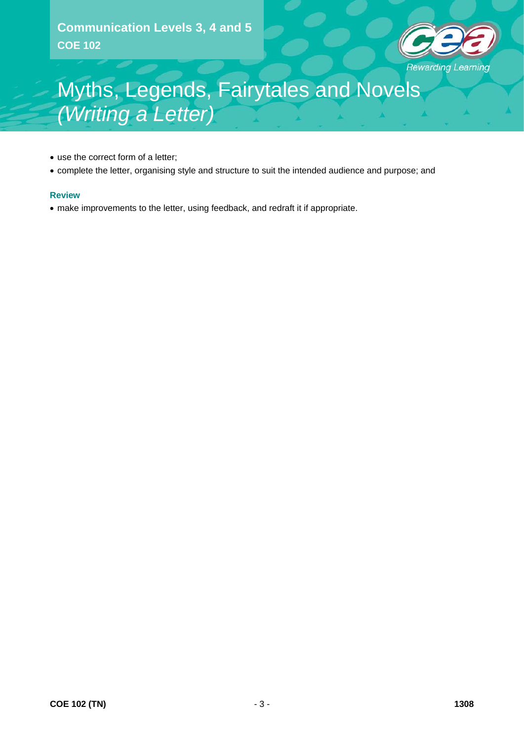

# Myths, Legends, Fairytales and Novels *(Writing a Letter)*

- use the correct form of a letter;
- complete the letter, organising style and structure to suit the intended audience and purpose; and

#### **Review**

• make improvements to the letter, using feedback, and redraft it if appropriate.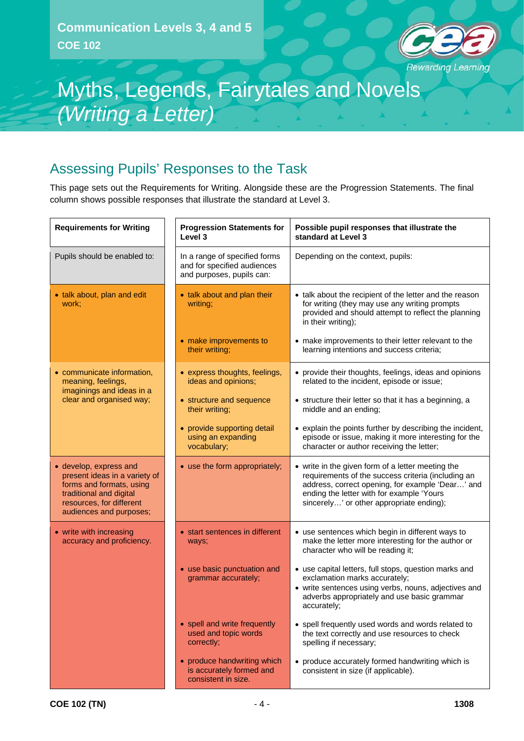

# Myths, Legends, Fairytales and Novels *(Writing a Letter)*

## Assessing Pupils' Responses to the Task

This page sets out the Requirements for Writing. Alongside these are the Progression Statements. The final column shows possible responses that illustrate the standard at Level 3.

| <b>Requirements for Writing</b>                                                                                                                                       | <b>Progression Statements for</b><br>Level 3                                              | Possible pupil responses that illustrate the<br>standard at Level 3                                                                                                                                                                                  |
|-----------------------------------------------------------------------------------------------------------------------------------------------------------------------|-------------------------------------------------------------------------------------------|------------------------------------------------------------------------------------------------------------------------------------------------------------------------------------------------------------------------------------------------------|
| Pupils should be enabled to:                                                                                                                                          | In a range of specified forms<br>and for specified audiences<br>and purposes, pupils can: | Depending on the context, pupils:                                                                                                                                                                                                                    |
| • talk about, plan and edit<br>work;                                                                                                                                  | • talk about and plan their<br>writing;                                                   | • talk about the recipient of the letter and the reason<br>for writing (they may use any writing prompts<br>provided and should attempt to reflect the planning<br>in their writing);                                                                |
|                                                                                                                                                                       | • make improvements to<br>their writing;                                                  | • make improvements to their letter relevant to the<br>learning intentions and success criteria;                                                                                                                                                     |
| • communicate information,<br>meaning, feelings,<br>imaginings and ideas in a                                                                                         | • express thoughts, feelings,<br>ideas and opinions;                                      | • provide their thoughts, feelings, ideas and opinions<br>related to the incident, episode or issue;                                                                                                                                                 |
| clear and organised way;                                                                                                                                              | • structure and sequence<br>their writing;                                                | • structure their letter so that it has a beginning, a<br>middle and an ending;                                                                                                                                                                      |
|                                                                                                                                                                       | • provide supporting detail<br>using an expanding<br>vocabulary;                          | • explain the points further by describing the incident,<br>episode or issue, making it more interesting for the<br>character or author receiving the letter;                                                                                        |
| • develop, express and<br>present ideas in a variety of<br>forms and formats, using<br>traditional and digital<br>resources, for different<br>audiences and purposes; | • use the form appropriately;                                                             | • write in the given form of a letter meeting the<br>requirements of the success criteria (including an<br>address, correct opening, for example 'Dear' and<br>ending the letter with for example 'Yours<br>sincerely' or other appropriate ending); |
| • write with increasing<br>accuracy and proficiency.                                                                                                                  | • start sentences in different<br>ways;                                                   | • use sentences which begin in different ways to<br>make the letter more interesting for the author or<br>character who will be reading it;                                                                                                          |
|                                                                                                                                                                       | • use basic punctuation and<br>grammar accurately;                                        | • use capital letters, full stops, question marks and<br>exclamation marks accurately;<br>• write sentences using verbs, nouns, adjectives and<br>adverbs appropriately and use basic grammar<br>accurately;                                         |
|                                                                                                                                                                       | • spell and write frequently<br>used and topic words<br>correctly;                        | • spell frequently used words and words related to<br>the text correctly and use resources to check<br>spelling if necessary;                                                                                                                        |
|                                                                                                                                                                       | • produce handwriting which<br>is accurately formed and<br>consistent in size.            | • produce accurately formed handwriting which is<br>consistent in size (if applicable).                                                                                                                                                              |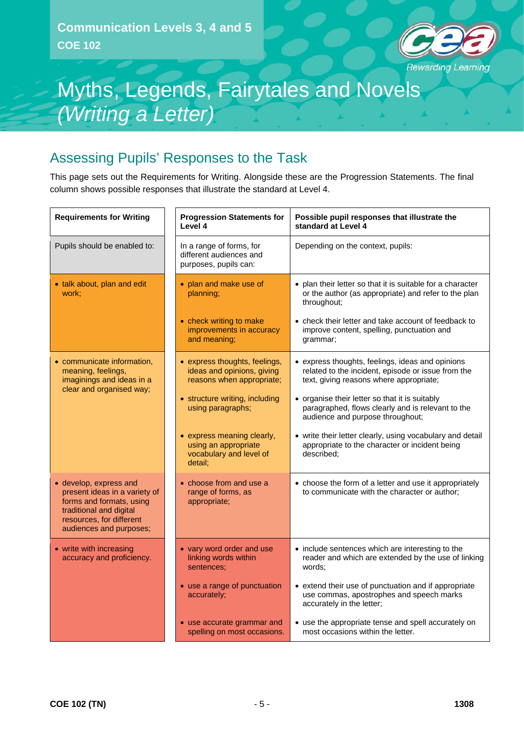

# Myths, Legends, Fairytales and Novels *(Writing a Letter)*

## Assessing Pupils' Responses to the Task

This page sets out the Requirements for Writing. Alongside these are the Progression Statements. The final column shows possible responses that illustrate the standard at Level 4.

| <b>Requirements for Writing</b>                                                                                                                                       | <b>Progression Statements for</b><br>Level 4                                             | Possible pupil responses that illustrate the<br>standard at Level 4                                                                               |
|-----------------------------------------------------------------------------------------------------------------------------------------------------------------------|------------------------------------------------------------------------------------------|---------------------------------------------------------------------------------------------------------------------------------------------------|
| Pupils should be enabled to:                                                                                                                                          | In a range of forms, for<br>different audiences and<br>purposes, pupils can:             | Depending on the context, pupils:                                                                                                                 |
| • talk about, plan and edit<br>work;                                                                                                                                  | • plan and make use of<br>planning;                                                      | • plan their letter so that it is suitable for a character<br>or the author (as appropriate) and refer to the plan<br>throughout;                 |
|                                                                                                                                                                       | • check writing to make<br>improvements in accuracy<br>and meaning;                      | • check their letter and take account of feedback to<br>improve content, spelling, punctuation and<br>grammar;                                    |
| • communicate information,<br>meaning, feelings,<br>imaginings and ideas in a<br>clear and organised way;                                                             | • express thoughts, feelings,<br>ideas and opinions, giving<br>reasons when appropriate; | • express thoughts, feelings, ideas and opinions<br>related to the incident, episode or issue from the<br>text, giving reasons where appropriate; |
|                                                                                                                                                                       | • structure writing, including<br>using paragraphs;                                      | • organise their letter so that it is suitably<br>paragraphed, flows clearly and is relevant to the<br>audience and purpose throughout;           |
|                                                                                                                                                                       | • express meaning clearly,<br>using an appropriate<br>vocabulary and level of<br>detail; | • write their letter clearly, using vocabulary and detail<br>appropriate to the character or incident being<br>described:                         |
| • develop, express and<br>present ideas in a variety of<br>forms and formats, using<br>traditional and digital<br>resources, for different<br>audiences and purposes; | • choose from and use a<br>range of forms, as<br>appropriate;                            | • choose the form of a letter and use it appropriately<br>to communicate with the character or author;                                            |
| • write with increasing<br>accuracy and proficiency.                                                                                                                  | • vary word order and use<br>linking words within<br>sentences:                          | • include sentences which are interesting to the<br>reader and which are extended by the use of linking<br>words:                                 |
|                                                                                                                                                                       | • use a range of punctuation<br>accurately;                                              | • extend their use of punctuation and if appropriate<br>use commas, apostrophes and speech marks<br>accurately in the letter;                     |
|                                                                                                                                                                       | • use accurate grammar and<br>spelling on most occasions.                                | • use the appropriate tense and spell accurately on<br>most occasions within the letter.                                                          |